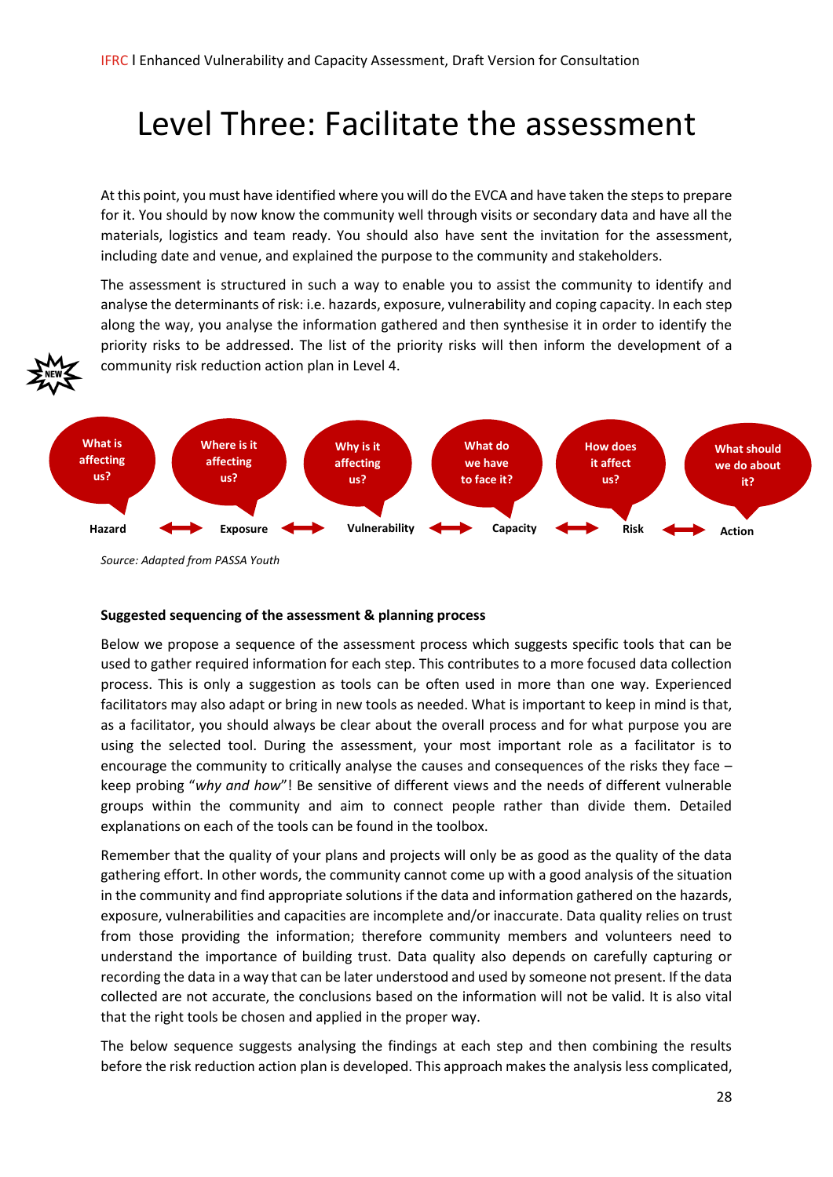# Level Three: Facilitate the assessment

At this point, you must have identified where you will do the EVCA and have taken the steps to prepare for it. You should by now know the community well through visits or secondary data and have all the materials, logistics and team ready. You should also have sent the invitation for the assessment, including date and venue, and explained the purpose to the community and stakeholders.

The assessment is structured in such a way to enable you to assist the community to identify and analyse the determinants of risk: i.e. hazards, exposure, vulnerability and coping capacity. In each step along the way, you analyse the information gathered and then synthesise it in order to identify the priority risks to be addressed. The list of the priority risks will then inform the development of a community risk reduction action plan in Level 4.





#### **Suggested sequencing of the assessment & planning process**

Below we propose a sequence of the assessment process which suggests specific tools that can be used to gather required information for each step. This contributes to a more focused data collection process. This is only a suggestion as tools can be often used in more than one way. Experienced facilitators may also adapt or bring in new tools as needed. What is important to keep in mind is that, as a facilitator, you should always be clear about the overall process and for what purpose you are using the selected tool. During the assessment, your most important role as a facilitator is to encourage the community to critically analyse the causes and consequences of the risks they face – keep probing "*why and how*"! Be sensitive of different views and the needs of different vulnerable groups within the community and aim to connect people rather than divide them. Detailed explanations on each of the tools can be found in the toolbox.

Remember that the quality of your plans and projects will only be as good as the quality of the data gathering effort. In other words, the community cannot come up with a good analysis of the situation in the community and find appropriate solutions if the data and information gathered on the hazards, exposure, vulnerabilities and capacities are incomplete and/or inaccurate. Data quality relies on trust from those providing the information; therefore community members and volunteers need to understand the importance of building trust. Data quality also depends on carefully capturing or recording the data in a way that can be later understood and used by someone not present. If the data collected are not accurate, the conclusions based on the information will not be valid. It is also vital that the right tools be chosen and applied in the proper way.

The below sequence suggests analysing the findings at each step and then combining the results before the risk reduction action plan is developed. This approach makes the analysis less complicated,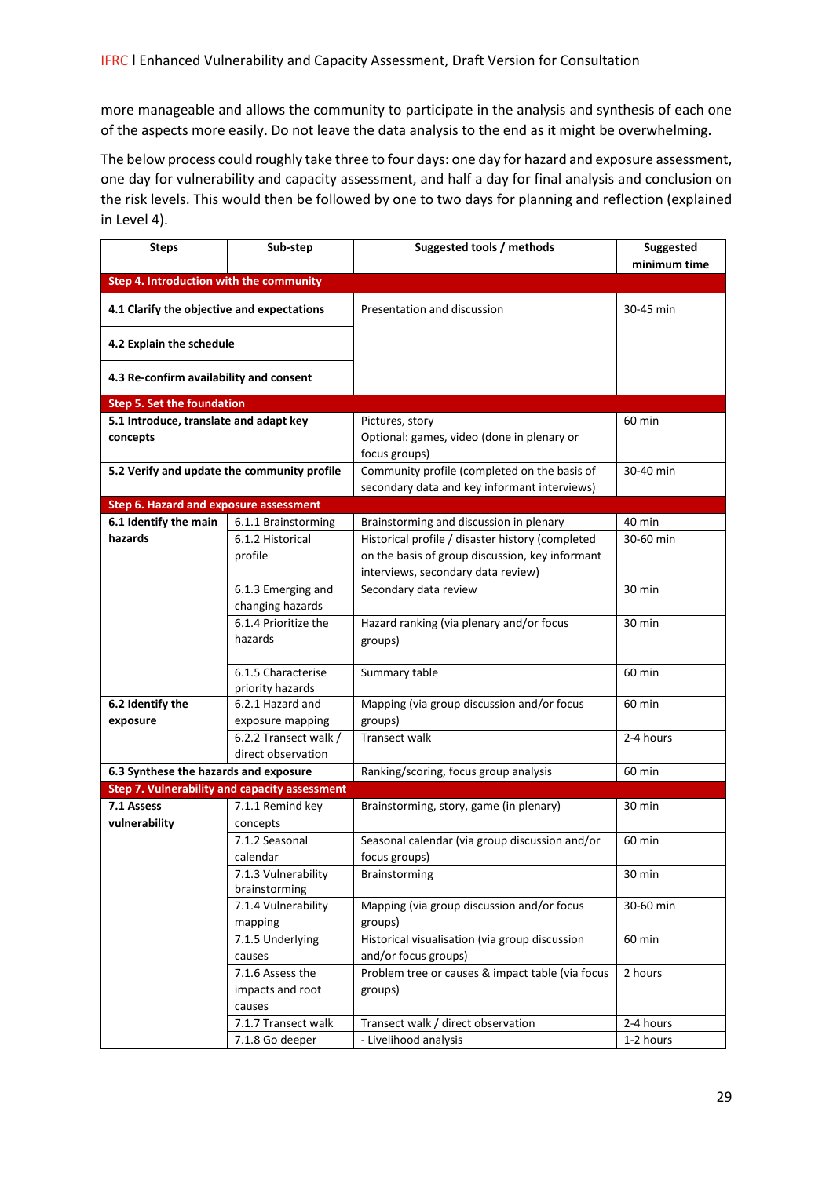more manageable and allows the community to participate in the analysis and synthesis of each one of the aspects more easily. Do not leave the data analysis to the end as it might be overwhelming.

The below process could roughly take three to four days: one day for hazard and exposure assessment, one day for vulnerability and capacity assessment, and half a day for final analysis and conclusion on the risk levels. This would then be followed by one to two days for planning and reflection (explained in Level 4).

| <b>Steps</b>                                       | Sub-step                                             | Suggested tools / methods                                                                    | Suggested<br>minimum time |
|----------------------------------------------------|------------------------------------------------------|----------------------------------------------------------------------------------------------|---------------------------|
| Step 4. Introduction with the community            |                                                      |                                                                                              |                           |
| 4.1 Clarify the objective and expectations         |                                                      | Presentation and discussion                                                                  | 30-45 min                 |
| 4.2 Explain the schedule                           |                                                      |                                                                                              |                           |
| 4.3 Re-confirm availability and consent            |                                                      |                                                                                              |                           |
| <b>Step 5. Set the foundation</b>                  |                                                      |                                                                                              |                           |
| 5.1 Introduce, translate and adapt key<br>concepts |                                                      | Pictures, story<br>Optional: games, video (done in plenary or<br>focus groups)               | 60 min                    |
| 5.2 Verify and update the community profile        |                                                      | Community profile (completed on the basis of<br>secondary data and key informant interviews) | 30-40 min                 |
| <b>Step 6. Hazard and exposure assessment</b>      |                                                      |                                                                                              |                           |
| 6.1 Identify the main                              | 6.1.1 Brainstorming                                  | Brainstorming and discussion in plenary                                                      | 40 min                    |
| hazards                                            | 6.1.2 Historical                                     | Historical profile / disaster history (completed                                             | 30-60 min                 |
|                                                    | profile                                              | on the basis of group discussion, key informant                                              |                           |
|                                                    |                                                      | interviews, secondary data review)                                                           |                           |
|                                                    | 6.1.3 Emerging and<br>changing hazards               | Secondary data review                                                                        | 30 min                    |
|                                                    | 6.1.4 Prioritize the<br>hazards                      | Hazard ranking (via plenary and/or focus<br>groups)                                          | 30 min                    |
|                                                    | 6.1.5 Characterise<br>priority hazards               | Summary table                                                                                | 60 min                    |
| 6.2 Identify the                                   | 6.2.1 Hazard and                                     | Mapping (via group discussion and/or focus                                                   | 60 min                    |
| exposure                                           | exposure mapping                                     | groups)                                                                                      |                           |
|                                                    | 6.2.2 Transect walk /                                | <b>Transect walk</b>                                                                         | 2-4 hours                 |
|                                                    | direct observation                                   |                                                                                              |                           |
| 6.3 Synthese the hazards and exposure              |                                                      | Ranking/scoring, focus group analysis                                                        | 60 min                    |
|                                                    | <b>Step 7. Vulnerability and capacity assessment</b> |                                                                                              |                           |
| 7.1 Assess<br>vulnerability                        | 7.1.1 Remind key                                     | Brainstorming, story, game (in plenary)                                                      | 30 min                    |
|                                                    | concepts<br>7.1.2 Seasonal                           | Seasonal calendar (via group discussion and/or                                               | 60 min                    |
|                                                    | calendar                                             | focus groups)                                                                                |                           |
|                                                    | 7.1.3 Vulnerability                                  | Brainstorming                                                                                | 30 min                    |
|                                                    | brainstorming                                        |                                                                                              |                           |
|                                                    | 7.1.4 Vulnerability                                  | Mapping (via group discussion and/or focus                                                   | 30-60 min                 |
|                                                    | mapping                                              | groups)                                                                                      |                           |
|                                                    | 7.1.5 Underlying                                     | Historical visualisation (via group discussion                                               | 60 min                    |
|                                                    | causes                                               | and/or focus groups)                                                                         |                           |
|                                                    | 7.1.6 Assess the                                     | Problem tree or causes & impact table (via focus                                             | 2 hours                   |
|                                                    | impacts and root                                     | groups)                                                                                      |                           |
|                                                    | causes                                               |                                                                                              |                           |
|                                                    | 7.1.7 Transect walk                                  | Transect walk / direct observation<br>- Livelihood analysis                                  | 2-4 hours<br>1-2 hours    |
|                                                    | 7.1.8 Go deeper                                      |                                                                                              |                           |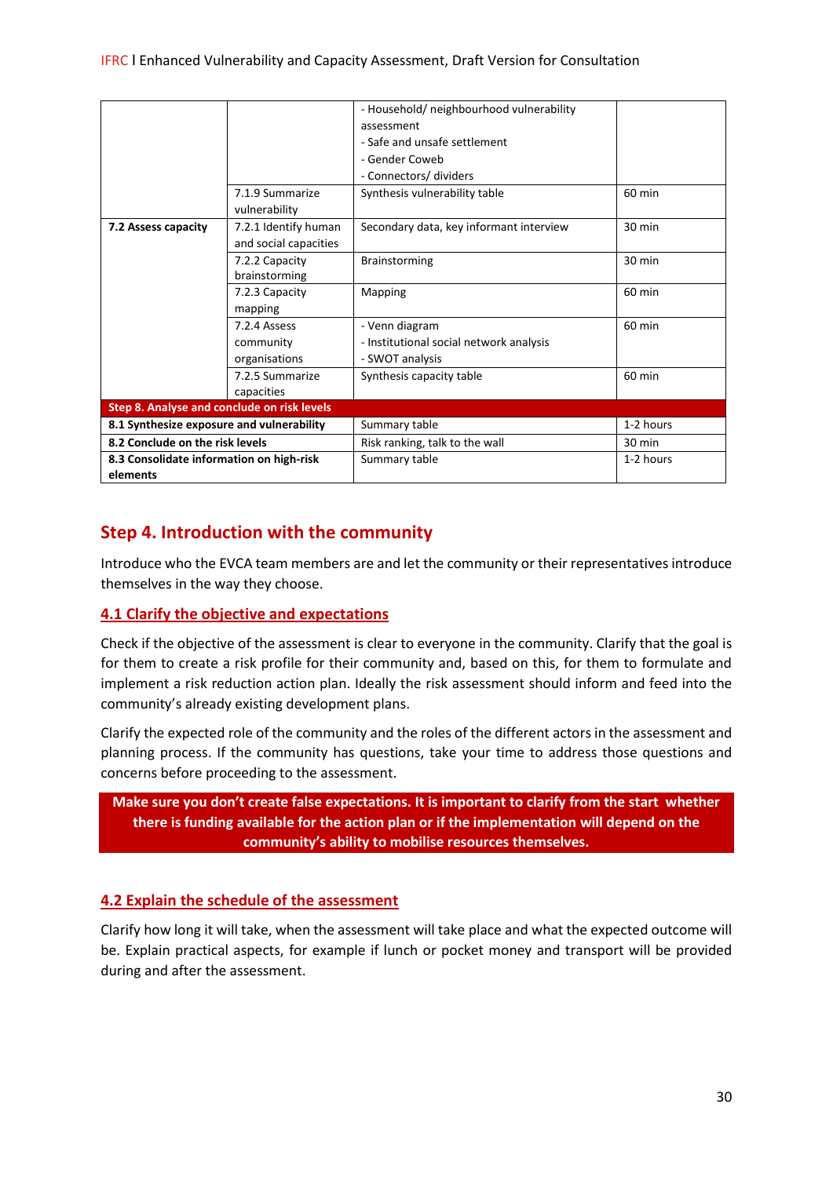|                                             |                       | - Household/ neighbourhood vulnerability |                  |  |
|---------------------------------------------|-----------------------|------------------------------------------|------------------|--|
|                                             |                       |                                          |                  |  |
|                                             |                       | assessment                               |                  |  |
|                                             |                       | - Safe and unsafe settlement             |                  |  |
|                                             |                       | - Gender Coweb                           |                  |  |
|                                             |                       | - Connectors/ dividers                   |                  |  |
|                                             | 7.1.9 Summarize       | Synthesis vulnerability table            | 60 min           |  |
|                                             | vulnerability         |                                          |                  |  |
| 7.2 Assess capacity                         | 7.2.1 Identify human  | Secondary data, key informant interview  | 30 min           |  |
|                                             | and social capacities |                                          |                  |  |
|                                             | 7.2.2 Capacity        | Brainstorming                            | 30 min           |  |
|                                             | brainstorming         |                                          |                  |  |
|                                             | 7.2.3 Capacity        | Mapping                                  | 60 min           |  |
|                                             | mapping               |                                          |                  |  |
|                                             | 7.2.4 Assess          | - Venn diagram                           | 60 min           |  |
|                                             | community             | - Institutional social network analysis  |                  |  |
|                                             | organisations         | - SWOT analysis                          |                  |  |
|                                             | 7.2.5 Summarize       | Synthesis capacity table                 | 60 min           |  |
|                                             | capacities            |                                          |                  |  |
| Step 8. Analyse and conclude on risk levels |                       |                                          |                  |  |
| 8.1 Synthesize exposure and vulnerability   |                       | Summary table                            | 1-2 hours        |  |
| 8.2 Conclude on the risk levels             |                       | Risk ranking, talk to the wall           | $30 \text{ min}$ |  |
| 8.3 Consolidate information on high-risk    |                       | Summary table                            | 1-2 hours        |  |
| elements                                    |                       |                                          |                  |  |

# **Step 4. Introduction with the community**

Introduce who the EVCA team members are and let the community or their representatives introduce themselves in the way they choose.

## **4.1 Clarify the objective and expectations**

Check if the objective of the assessment is clear to everyone in the community. Clarify that the goal is for them to create a risk profile for their community and, based on this, for them to formulate and implement a risk reduction action plan. Ideally the risk assessment should inform and feed into the community's already existing development plans.

Clarify the expected role of the community and the roles of the different actors in the assessment and planning process. If the community has questions, take your time to address those questions and concerns before proceeding to the assessment.

**Make sure you don't create false expectations. It is important to clarify from the start whether there is funding available for the action plan or if the implementation will depend on the community's ability to mobilise resources themselves.**

# **4.2 Explain the schedule of the assessment**

Clarify how long it will take, when the assessment will take place and what the expected outcome will be. Explain practical aspects, for example if lunch or pocket money and transport will be provided during and after the assessment.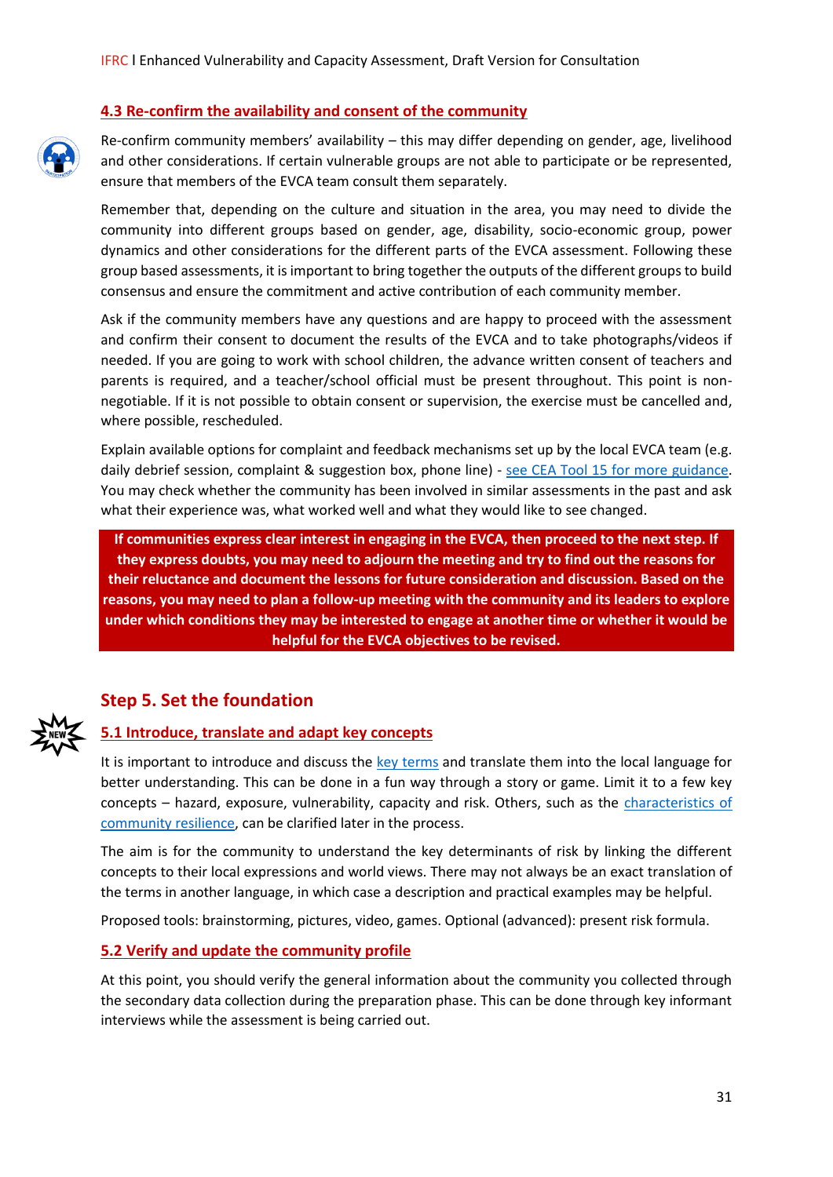#### **4.3 Re-confirm the availability and consent of the community**

Re-confirm community members' availability – this may differ depending on gender, age, livelihood and other considerations. If certain vulnerable groups are not able to participate or be represented, ensure that members of the EVCA team consult them separately.

Remember that, depending on the culture and situation in the area, you may need to divide the community into different groups based on gender, age, disability, socio-economic group, power dynamics and other considerations for the different parts of the EVCA assessment. Following these group based assessments, it is important to bring together the outputs of the different groups to build consensus and ensure the commitment and active contribution of each community member.

Ask if the community members have any questions and are happy to proceed with the assessment and confirm their consent to document the results of the EVCA and to take photographs/videos if needed. If you are going to work with school children, the advance written consent of teachers and parents is required, and a teacher/school official must be present throughout. This point is nonnegotiable. If it is not possible to obtain consent or supervision, the exercise must be cancelled and, where possible, rescheduled.

Explain available options for complaint and feedback mechanisms set up by the local EVCA team (e.g. daily debrief session, complaint & suggestion box, phone line) - [see CEA Tool 15 for more](http://media.ifrc.org/ifrc/document/tool-15-complaints-and-feedback/) guidance. You may check whether the community has been involved in similar assessments in the past and ask what their experience was, what worked well and what they would like to see changed.

**If communities express clear interest in engaging in the EVCA, then proceed to the next step. If they express doubts, you may need to adjourn the meeting and try to find out the reasons for their reluctance and document the lessons for future consideration and discussion. Based on the reasons, you may need to plan a follow-up meeting with the community and its leaders to explore under which conditions they may be interested to engage at another time or whether it would be helpful for the EVCA objectives to be revised.**

# **Step 5. Set the foundation**

#### **5.1 Introduce, translate and adapt key concepts**

It is important to introduce and discuss the [key terms](https://static.wixstatic.com/ugd/7baf5b_3d41e5ad29c946fe905a0520ff1d7802.pdf) and translate them into the local language for better understanding. This can be done in a fun way through a story or game. Limit it to a few key concepts – hazard, exposure, vulnerability, capacity and risk. Others, such as the [characteristics of](https://docs.wixstatic.com/ugd/7baf5b_df66e242a7ee44ce9dce543c2a205cf1.pdf)  [community resilience,](https://docs.wixstatic.com/ugd/7baf5b_df66e242a7ee44ce9dce543c2a205cf1.pdf) can be clarified later in the process.

The aim is for the community to understand the key determinants of risk by linking the different concepts to their local expressions and world views. There may not always be an exact translation of the terms in another language, in which case a description and practical examples may be helpful.

Proposed tools: brainstorming, pictures, video, games. Optional (advanced): present risk formula.

#### **5.2 Verify and update the community profile**

At this point, you should verify the general information about the community you collected through the secondary data collection during the preparation phase. This can be done through key informant interviews while the assessment is being carried out.

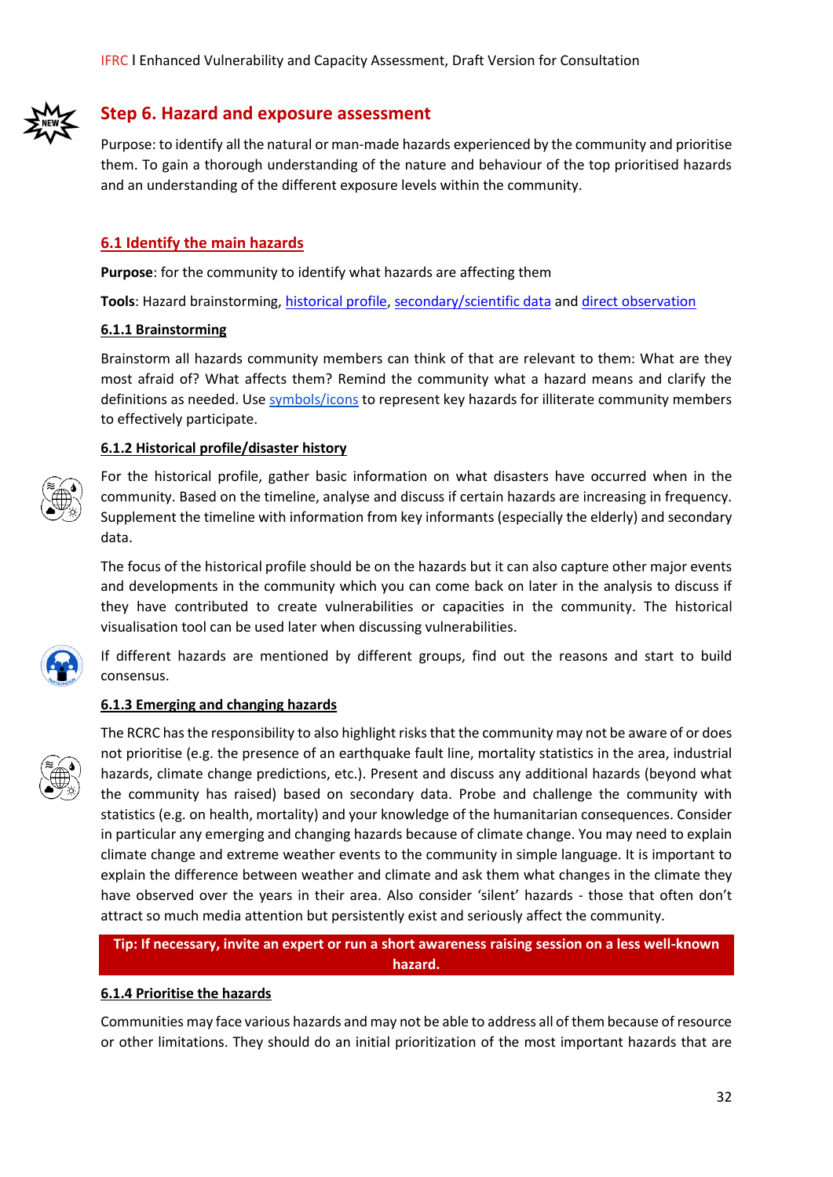

# **Step 6. Hazard and exposure assessment**

Purpose: to identify all the natural or man-made hazards experienced by the community and prioritise them. To gain a thorough understanding of the nature and behaviour of the top prioritised hazards and an understanding of the different exposure levels within the community.

#### **6.1 Identify the main hazards**

**Purpose**: for the community to identify what hazards are affecting them

**Tools**: Hazard brainstorming, [historical profile,](https://www.ifrcvca.org/historical-profile) [secondary/scientific data](https://www.ifrcvca.org/secondary-source-review) an[d direct observation](https://www.ifrcvca.org/direct-observation)

#### **6.1.1 Brainstorming**

Brainstorm all hazards community members can think of that are relevant to them: What are they most afraid of? What affects them? Remind the community what a hazard means and clarify the definitions as needed. Us[e symbols/icons](https://static.wixstatic.com/ugd/7baf5b_e9d23bdc6ea04670aaf92c40e0adcf29.pptx) to represent key hazards for illiterate community members to effectively participate.

#### **6.1.2 Historical profile/disaster history**



For the historical profile, gather basic information on what disasters have occurred when in the community. Based on the timeline, analyse and discuss if certain hazards are increasing in frequency. Supplement the timeline with information from key informants (especially the elderly) and secondary data.

The focus of the historical profile should be on the hazards but it can also capture other major events and developments in the community which you can come back on later in the analysis to discuss if they have contributed to create vulnerabilities or capacities in the community. The historical visualisation tool can be used later when discussing vulnerabilities.

If different hazards are mentioned by different groups, find out the reasons and start to build consensus.

#### **6.1.3 Emerging and changing hazards**



The RCRC has the responsibility to also highlight risks that the community may not be aware of or does not prioritise (e.g. the presence of an earthquake fault line, mortality statistics in the area, industrial hazards, climate change predictions, etc.). Present and discuss any additional hazards (beyond what the community has raised) based on secondary data. Probe and challenge the community with statistics (e.g. on health, mortality) and your knowledge of the humanitarian consequences. Consider in particular any emerging and changing hazards because of climate change. You may need to explain climate change and extreme weather events to the community in simple language. It is important to explain the difference between weather and climate and ask them what changes in the climate they have observed over the years in their area. Also consider 'silent' hazards - those that often don't attract so much media attention but persistently exist and seriously affect the community.

**Tip: If necessary, invite an expert or run a short awareness raising session on a less well-known hazard.**

#### **6.1.4 Prioritise the hazards**

Communities may face various hazards and may not be able to address all of them because of resource or other limitations. They should do an initial prioritization of the most important hazards that are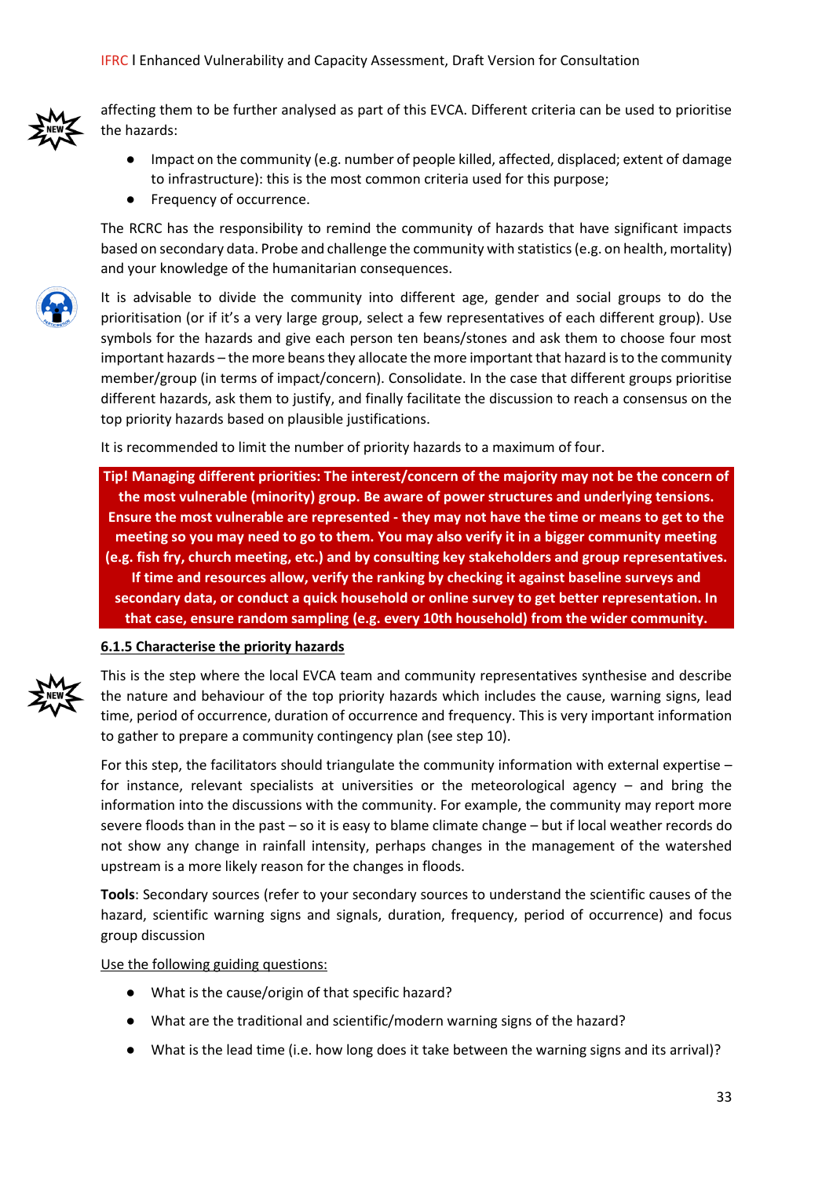

affecting them to be further analysed as part of this EVCA. Different criteria can be used to prioritise the hazards:

- Impact on the community (e.g. number of people killed, affected, displaced; extent of damage to infrastructure): this is the most common criteria used for this purpose;
- Frequency of occurrence.

The RCRC has the responsibility to remind the community of hazards that have significant impacts based on secondary data. Probe and challenge the community with statistics (e.g. on health, mortality) and your knowledge of the humanitarian consequences.



It is advisable to divide the community into different age, gender and social groups to do the prioritisation (or if it's a very large group, select a few representatives of each different group). Use symbols for the hazards and give each person ten beans/stones and ask them to choose four most important hazards – the more beans they allocate the more important that hazard is to the community member/group (in terms of impact/concern). Consolidate. In the case that different groups prioritise different hazards, ask them to justify, and finally facilitate the discussion to reach a consensus on the top priority hazards based on plausible justifications.

It is recommended to limit the number of priority hazards to a maximum of four.

**Tip! Managing different priorities: The interest/concern of the majority may not be the concern of the most vulnerable (minority) group. Be aware of power structures and underlying tensions. Ensure the most vulnerable are represented - they may not have the time or means to get to the meeting so you may need to go to them. You may also verify it in a bigger community meeting (e.g. fish fry, church meeting, etc.) and by consulting key stakeholders and group representatives. If time and resources allow, verify the ranking by checking it against baseline surveys and secondary data, or conduct a quick household or online survey to get better representation. In that case, ensure random sampling (e.g. every 10th household) from the wider community.**

#### **6.1.5 Characterise the priority hazards**



This is the step where the local EVCA team and community representatives synthesise and describe the nature and behaviour of the top priority hazards which includes the cause, warning signs, lead time, period of occurrence, duration of occurrence and frequency. This is very important information to gather to prepare a community contingency plan (see step 10).

For this step, the facilitators should triangulate the community information with external expertise – for instance, relevant specialists at universities or the meteorological agency – and bring the information into the discussions with the community. For example, the community may report more severe floods than in the past – so it is easy to blame climate change – but if local weather records do not show any change in rainfall intensity, perhaps changes in the management of the watershed upstream is a more likely reason for the changes in floods.

**Tools**: Secondary sources (refer to your secondary sources to understand the scientific causes of the hazard, scientific warning signs and signals, duration, frequency, period of occurrence) and focus group discussion

#### Use the following guiding questions:

- What is the cause/origin of that specific hazard?
- What are the traditional and scientific/modern warning signs of the hazard?
- What is the lead time (i.e. how long does it take between the warning signs and its arrival)?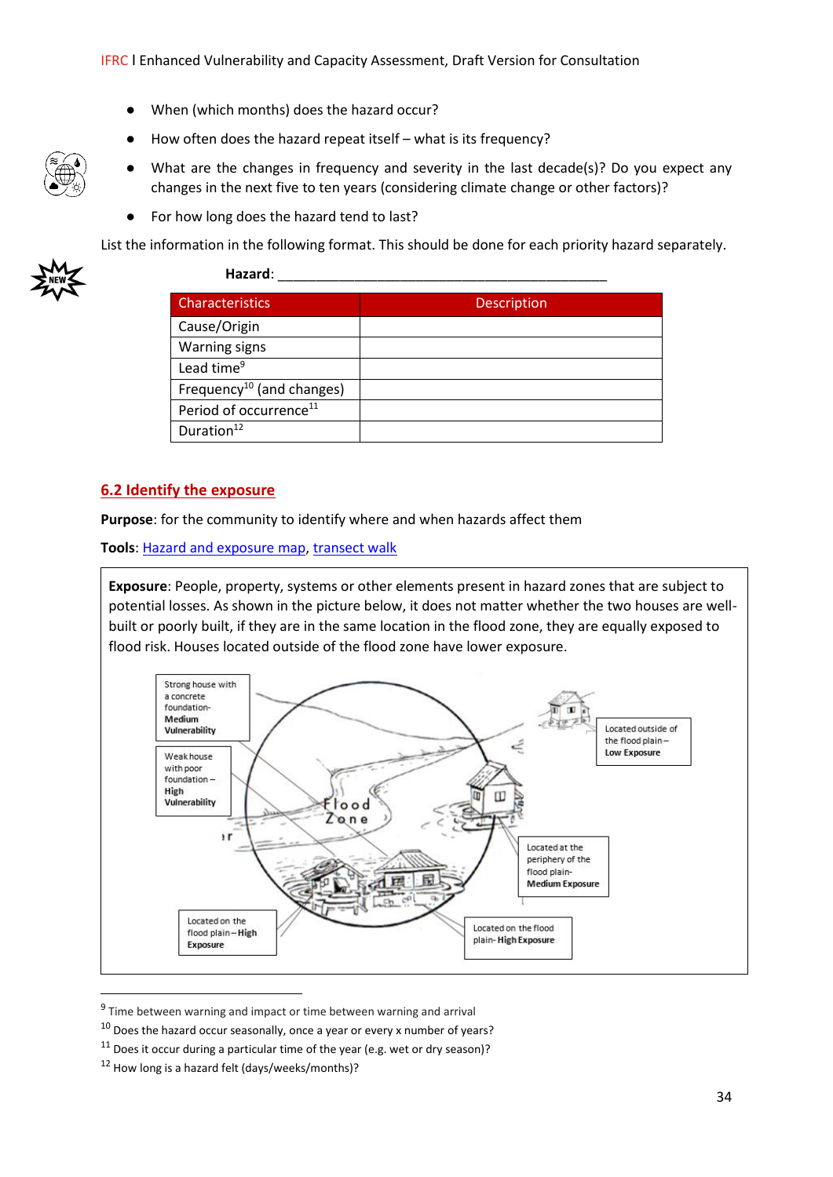- When (which months) does the hazard occur?
- How often does the hazard repeat itself what is its frequency?
- What are the changes in frequency and severity in the last decade(s)? Do you expect any changes in the next five to ten years (considering climate change or other factors)?
- For how long does the hazard tend to last?

List the information in the following format. This should be done for each priority hazard separately.



| Hazard:                               |             |
|---------------------------------------|-------------|
| <b>Characteristics</b>                | Description |
| Cause/Origin                          |             |
| Warning signs                         |             |
| Lead time <sup>9</sup>                |             |
| Frequency <sup>10</sup> (and changes) |             |
| Period of occurrence <sup>11</sup>    |             |
| Duration <sup>12</sup>                |             |

## **6.2 Identify the exposure**

**Purpose**: for the community to identify where and when hazards affect them

**Tools**: [Hazard and exposure map,](https://www.ifrcvca.org/mapping) [transect walk](https://www.ifrcvca.org/transect-walk)

**Exposure**: People, property, systems or other elements present in hazard zones that are subject to potential losses. As shown in the picture below, it does not matter whether the two houses are wellbuilt or poorly built, if they are in the same location in the flood zone, they are equally exposed to flood risk. Houses located outside of the flood zone have lower exposure.



<sup>&</sup>lt;sup>9</sup> Time between warning and impact or time between warning and arrival

 $10$  Does the hazard occur seasonally, once a year or every x number of years?

 $11$  Does it occur during a particular time of the year (e.g. wet or dry season)?

 $12$  How long is a hazard felt (days/weeks/months)?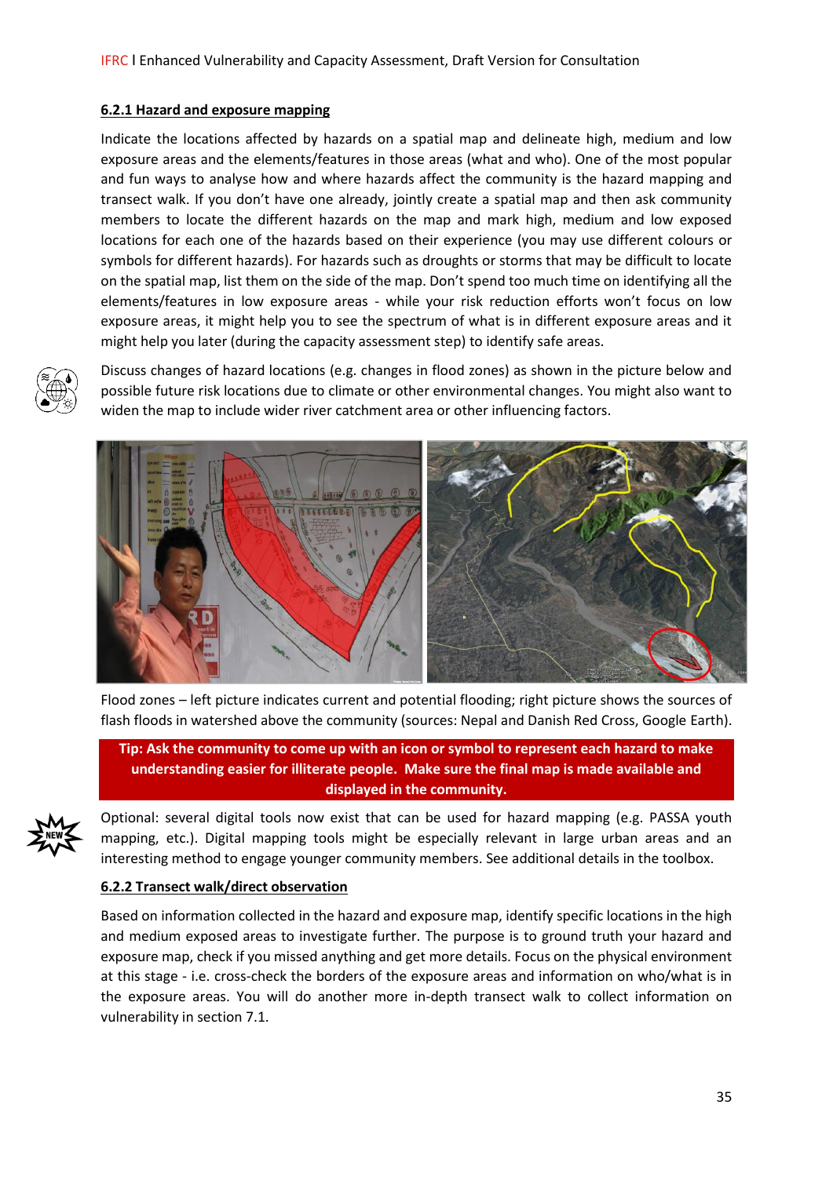#### **6.2.1 Hazard and exposure mapping**

Indicate the locations affected by hazards on a spatial map and delineate high, medium and low exposure areas and the elements/features in those areas (what and who). One of the most popular and fun ways to analyse how and where hazards affect the community is the hazard mapping and transect walk. If you don't have one already, jointly create a spatial map and then ask community members to locate the different hazards on the map and mark high, medium and low exposed locations for each one of the hazards based on their experience (you may use different colours or symbols for different hazards). For hazards such as droughts or storms that may be difficult to locate on the spatial map, list them on the side of the map. Don't spend too much time on identifying all the elements/features in low exposure areas - while your risk reduction efforts won't focus on low exposure areas, it might help you to see the spectrum of what is in different exposure areas and it might help you later (during the capacity assessment step) to identify safe areas.



Discuss changes of hazard locations (e.g. changes in flood zones) as shown in the picture below and possible future risk locations due to climate or other environmental changes. You might also want to widen the map to include wider river catchment area or other influencing factors.



Flood zones – left picture indicates current and potential flooding; right picture shows the sources of flash floods in watershed above the community (sources: Nepal and Danish Red Cross, Google Earth).

**Tip: Ask the community to come up with an icon or symbol to represent each hazard to make understanding easier for illiterate people. Make sure the final map is made available and displayed in the community.** 



Optional: several digital tools now exist that can be used for hazard mapping (e.g. PASSA youth mapping, etc.). Digital mapping tools might be especially relevant in large urban areas and an interesting method to engage younger community members. See additional details in the toolbox.

## **6.2.2 Transect walk/direct observation**

Based on information collected in the hazard and exposure map, identify specific locations in the high and medium exposed areas to investigate further. The purpose is to ground truth your hazard and exposure map, check if you missed anything and get more details. Focus on the physical environment at this stage - i.e. cross-check the borders of the exposure areas and information on who/what is in the exposure areas. You will do another more in-depth transect walk to collect information on vulnerability in section 7.1.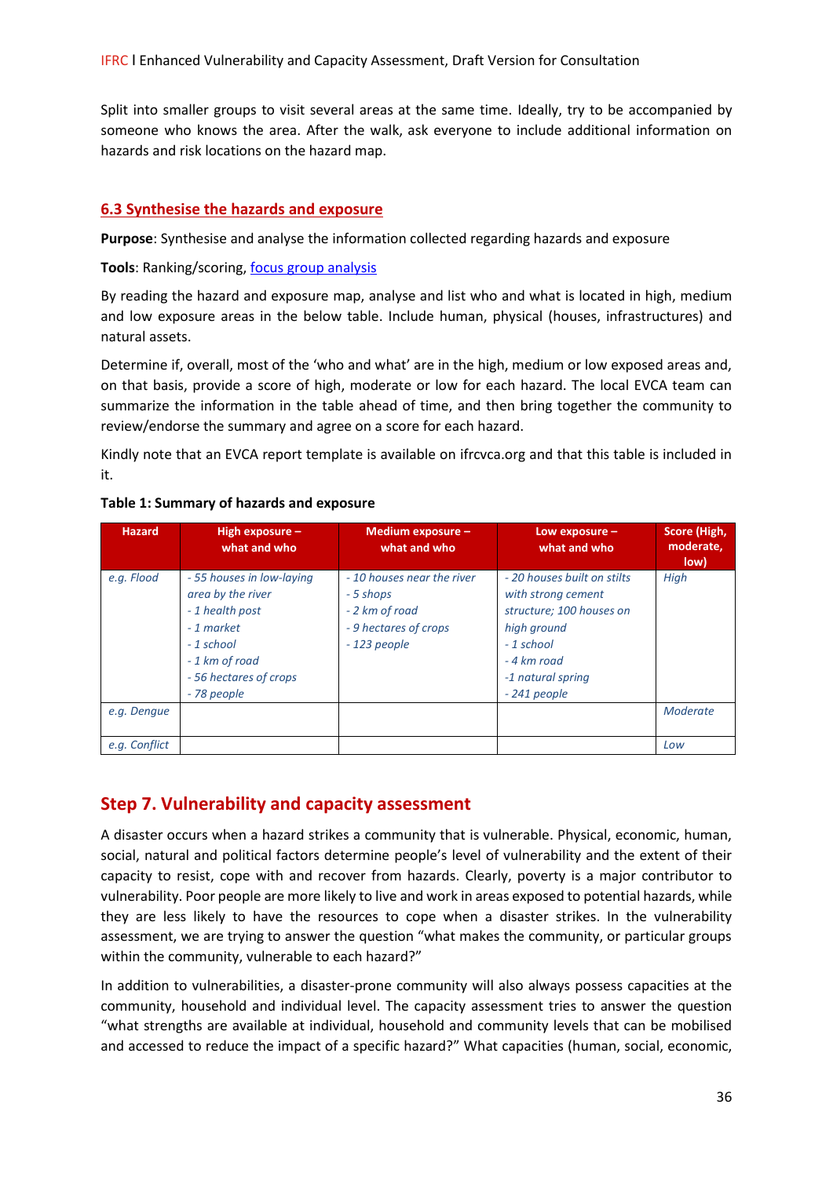Split into smaller groups to visit several areas at the same time. Ideally, try to be accompanied by someone who knows the area. After the walk, ask everyone to include additional information on hazards and risk locations on the hazard map.

## **6.3 Synthesise the hazards and exposure**

**Purpose**: Synthesise and analyse the information collected regarding hazards and exposure

#### Tools: Ranking/scoring, [focus group analysis](https://www.ifrcvca.org/focus-group-discussion)

By reading the hazard and exposure map, analyse and list who and what is located in high, medium and low exposure areas in the below table. Include human, physical (houses, infrastructures) and natural assets.

Determine if, overall, most of the 'who and what' are in the high, medium or low exposed areas and, on that basis, provide a score of high, moderate or low for each hazard. The local EVCA team can summarize the information in the table ahead of time, and then bring together the community to review/endorse the summary and agree on a score for each hazard.

Kindly note that an EVCA report template is available on ifrcvca.org and that this table is included in it.

| <b>Hazard</b> | High exposure $-$<br>what and who                                                                                                                        | Medium exposure -<br>what and who                                                                   | Low exposure -<br>what and who                                                                                                                                   | Score (High,<br>moderate,<br>low) |
|---------------|----------------------------------------------------------------------------------------------------------------------------------------------------------|-----------------------------------------------------------------------------------------------------|------------------------------------------------------------------------------------------------------------------------------------------------------------------|-----------------------------------|
| e.g. Flood    | - 55 houses in low-laying<br>area by the river<br>- 1 health post<br>- 1 market<br>- 1 school<br>- 1 km of road<br>- 56 hectares of crops<br>- 78 people | - 10 houses near the river<br>- 5 shops<br>- 2 km of road<br>- 9 hectares of crops<br>$-123$ people | - 20 houses built on stilts<br>with strong cement<br>structure; 100 houses on<br>high ground<br>$-1$ school<br>- 4 km road<br>-1 natural spring<br>$-241$ people | High                              |
| e.g. Dengue   |                                                                                                                                                          |                                                                                                     |                                                                                                                                                                  | Moderate                          |
| e.g. Conflict |                                                                                                                                                          |                                                                                                     |                                                                                                                                                                  | Low                               |

#### **Table 1: Summary of hazards and exposure**

# **Step 7. Vulnerability and capacity assessment**

A disaster occurs when a hazard strikes a community that is vulnerable. Physical, economic, human, social, natural and political factors determine people's level of vulnerability and the extent of their capacity to resist, cope with and recover from hazards. Clearly, poverty is a major contributor to vulnerability. Poor people are more likely to live and work in areas exposed to potential hazards, while they are less likely to have the resources to cope when a disaster strikes. In the vulnerability assessment, we are trying to answer the question "what makes the community, or particular groups within the community, vulnerable to each hazard?"

In addition to vulnerabilities, a disaster-prone community will also always possess capacities at the community, household and individual level. The capacity assessment tries to answer the question "what strengths are available at individual, household and community levels that can be mobilised and accessed to reduce the impact of a specific hazard?" What capacities (human, social, economic,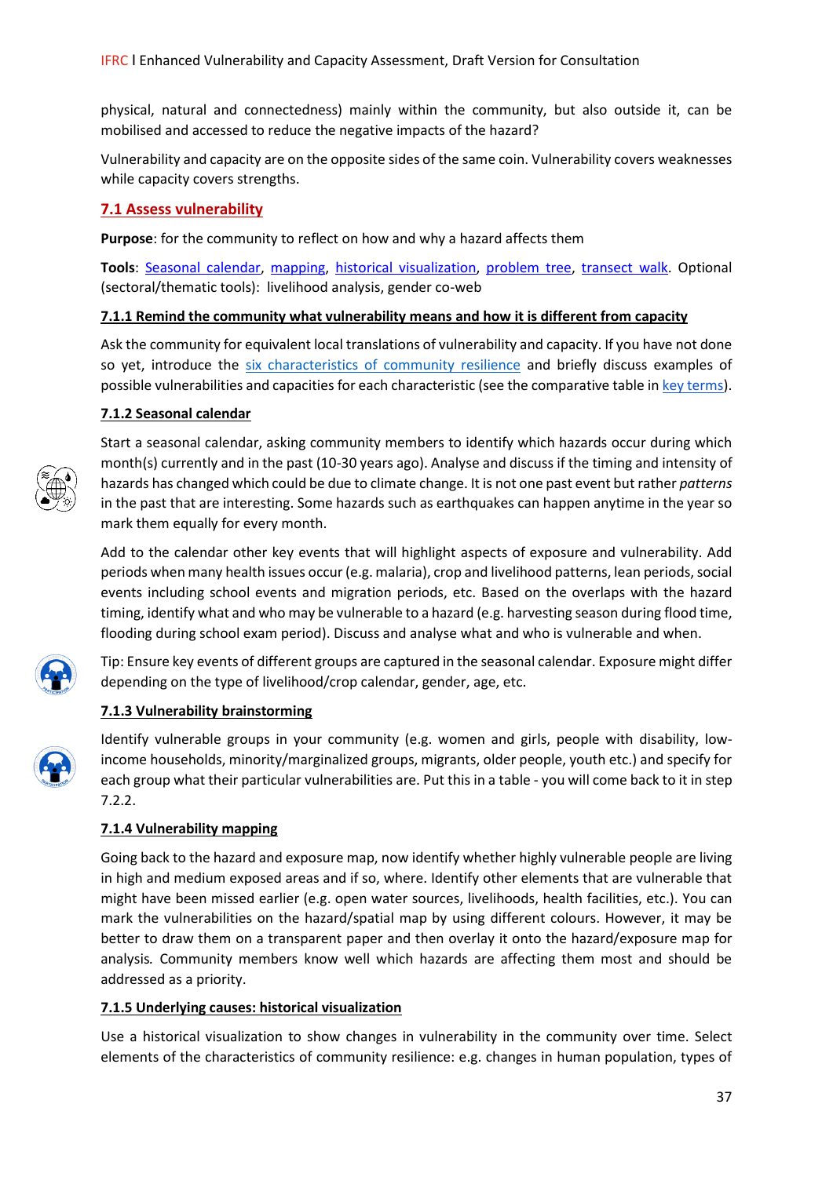physical, natural and connectedness) mainly within the community, but also outside it, can be mobilised and accessed to reduce the negative impacts of the hazard?

Vulnerability and capacity are on the opposite sides of the same coin. Vulnerability covers weaknesses while capacity covers strengths.

## **7.1 Assess vulnerability**

**Purpose**: for the community to reflect on how and why a hazard affects them

**Tools**: [Seasonal calendar,](https://www.ifrcvca.org/seasonal-calendar) [mapping,](https://www.ifrcvca.org/mapping) [historical visualization,](https://www.ifrcvca.org/historical-profile) [problem tree,](https://www.ifrcvca.org/problem-tree) [transect walk.](https://www.ifrcvca.org/transect-walk) Optional (sectoral/thematic tools): livelihood analysis, gender co-web

## **7.1.1 Remind the community what vulnerability means and how it is different from capacity**

Ask the community for equivalent local translations of vulnerability and capacity. If you have not done so yet, introduce the [six characteristics of community resilience](https://docs.wixstatic.com/ugd/7baf5b_df66e242a7ee44ce9dce543c2a205cf1.pdf) and briefly discuss examples of possible vulnerabilities and capacities for each characteristic (see the comparative table i[n key terms\)](https://static.wixstatic.com/ugd/7baf5b_3d41e5ad29c946fe905a0520ff1d7802.pdf).

## **7.1.2 Seasonal calendar**



Start a seasonal calendar, asking community members to identify which hazards occur during which month(s) currently and in the past (10-30 years ago). Analyse and discuss if the timing and intensity of hazards has changed which could be due to climate change. It is not one past event but rather *patterns* in the past that are interesting. Some hazards such as earthquakes can happen anytime in the year so mark them equally for every month.

Add to the calendar other key events that will highlight aspects of exposure and vulnerability. Add periods when many health issues occur (e.g. malaria), crop and livelihood patterns, lean periods, social events including school events and migration periods, etc. Based on the overlaps with the hazard timing, identify what and who may be vulnerable to a hazard (e.g. harvesting season during flood time, flooding during school exam period). Discuss and analyse what and who is vulnerable and when.



Tip: Ensure key events of different groups are captured in the seasonal calendar. Exposure might differ depending on the type of livelihood/crop calendar, gender, age, etc.

## **7.1.3 Vulnerability brainstorming**



Identify vulnerable groups in your community (e.g. women and girls, people with disability, lowincome households, minority/marginalized groups, migrants, older people, youth etc.) and specify for each group what their particular vulnerabilities are. Put this in a table - you will come back to it in step 7.2.2.

## **7.1.4 Vulnerability mapping**

Going back to the hazard and exposure map, now identify whether highly vulnerable people are living in high and medium exposed areas and if so, where. Identify other elements that are vulnerable that might have been missed earlier (e.g. open water sources, livelihoods, health facilities, etc.). You can mark the vulnerabilities on the hazard/spatial map by using different colours. However, it may be better to draw them on a transparent paper and then overlay it onto the hazard/exposure map for analysis*.* Community members know well which hazards are affecting them most and should be addressed as a priority.

## **7.1.5 Underlying causes: historical visualization**

Use a historical visualization to show changes in vulnerability in the community over time. Select elements of the characteristics of community resilience: e.g. changes in human population, types of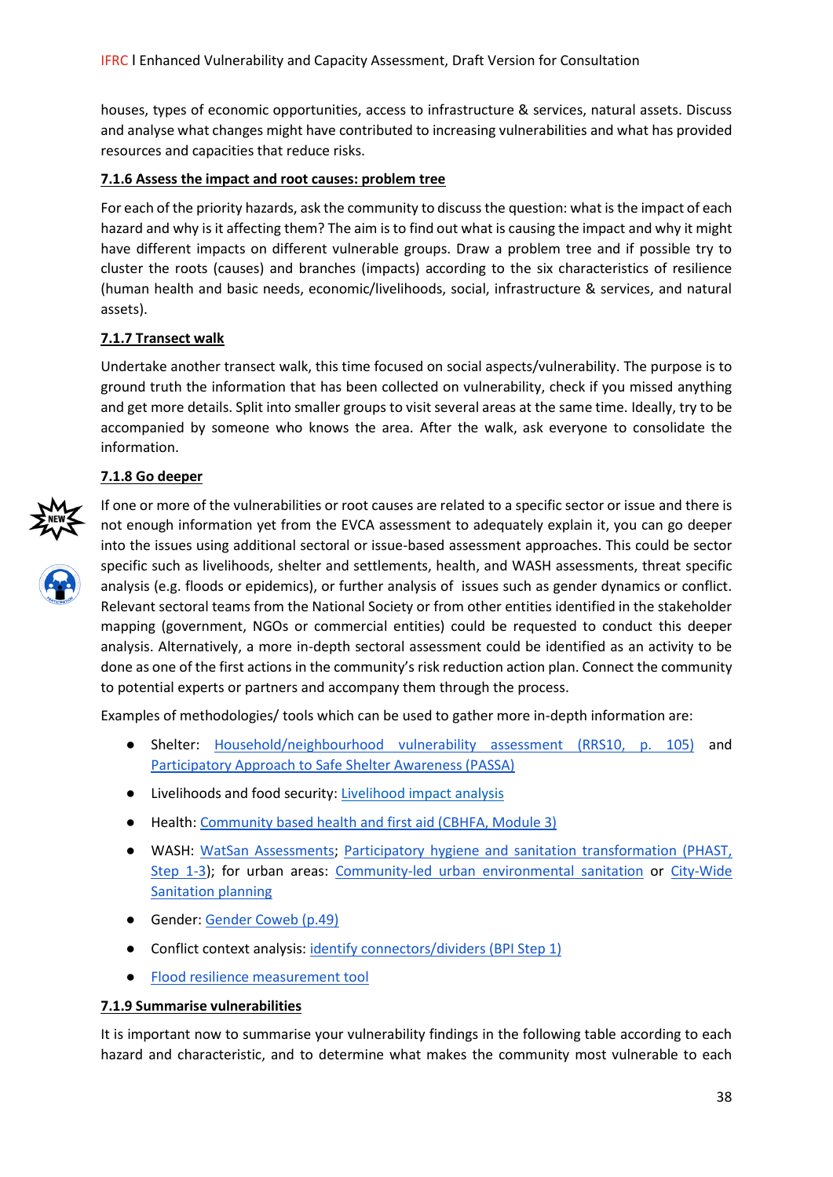houses, types of economic opportunities, access to infrastructure & services, natural assets. Discuss and analyse what changes might have contributed to increasing vulnerabilities and what has provided resources and capacities that reduce risks.

## **7.1.6 Assess the impact and root causes: problem tree**

For each of the priority hazards, ask the community to discuss the question: what is the impact of each hazard and why is it affecting them? The aim is to find out what is causing the impact and why it might have different impacts on different vulnerable groups. Draw a problem tree and if possible try to cluster the roots (causes) and branches (impacts) according to the six characteristics of resilience (human health and basic needs, economic/livelihoods, social, infrastructure & services, and natural assets).

## **7.1.7 Transect walk**

Undertake another transect walk, this time focused on social aspects/vulnerability. The purpose is to ground truth the information that has been collected on vulnerability, check if you missed anything and get more details. Split into smaller groups to visit several areas at the same time. Ideally, try to be accompanied by someone who knows the area. After the walk, ask everyone to consolidate the information.

#### **7.1.8 Go deeper**



If one or more of the vulnerabilities or root causes are related to a specific sector or issue and there is not enough information yet from the EVCA assessment to adequately explain it, you can go deeper into the issues using additional sectoral or issue-based assessment approaches. This could be sector specific such as livelihoods, shelter and settlements, health, and WASH assessments, threat specific analysis (e.g. floods or epidemics), or further analysis of issues such as gender dynamics or conflict. Relevant sectoral teams from the National Society or from other entities identified in the stakeholder mapping (government, NGOs or commercial entities) could be requested to conduct this deeper analysis. Alternatively, a more in-depth sectoral assessment could be identified as an activity to be done as one of the first actions in the community's risk reduction action plan. Connect the community to potential experts or partners and accompany them through the process.

Examples of methodologies/ tools which can be used to gather more in-depth information are:

- Shelter: [Household/neighbourhood vulnerability assessment](https://www.ifrc.org/Global/Publications/disasters/vca/vca-toolbox-en.pdf) [\(RRS10, p. 105\)](https://www.ifrc.org/Global/Publications/disasters/vca/vca-toolbox-en.pdf) and [Participatory Approach to Safe Shelter Awareness \(PASSA\)](http://passa.ifrc.org/)
- Livelihoods and food security: [Livelihood impact analysis](http://www.livelihoodscentre.org/toolbox?p_p_id=122_INSTANCE_BLoKLxHVh269&p_p_lifecycle=0&p_p_state=normal&p_p_mode=view&p_p_col_id=column-1&p_p_col_count=2&p_r_p_564233524_resetCur=true&p_r_p_564233524_categoryId=26507)
- Health: [Community based health and first aid \(CBHFA, Module 3\)](http://www.ifrc.org/en/what-we-do/health/cbhfa/toolkit/)
- WASH: [WatSan Assessments;](https://ifrcwatsanmissionassistant.wordpress.com/assessment/) [Participatory hygiene and sanitation transformation \(PHAST,](https://www.ifrc.org/Global/Publications/Health/water-and-sanitation/WatSan-Software_Tools.pdf)  [Step 1-3\)](https://www.ifrc.org/Global/Publications/Health/water-and-sanitation/WatSan-Software_Tools.pdf); for urban areas: [Community-led urban environmental sanitation](https://www.eawag.ch/en/department/sandec/projects/sesp/clues/) or City-Wide [Sanitation planning](https://www.eawag.ch/en/department/sandec/projects/sesp/citywide-inclusive-sanitation-cwis/)
- Gender[: Gender Coweb](http://www.braced.org/resources/i/?id=127f0e24-a44a-4468-abca-96db853f6558) [\(p.49\)](http://www.braced.org/resources/i/?id=127f0e24-a44a-4468-abca-96db853f6558)
- Conflict context analysis: [identify connectors/dividers](https://www.ifrc.org/Global/leaflet-bpi.pdf) (BPI Step 1)
- [Flood resilience measurement tool](https://floodresilience.net/frmc)

#### **7.1.9 Summarise vulnerabilities**

It is important now to summarise your vulnerability findings in the following table according to each hazard and characteristic, and to determine what makes the community most vulnerable to each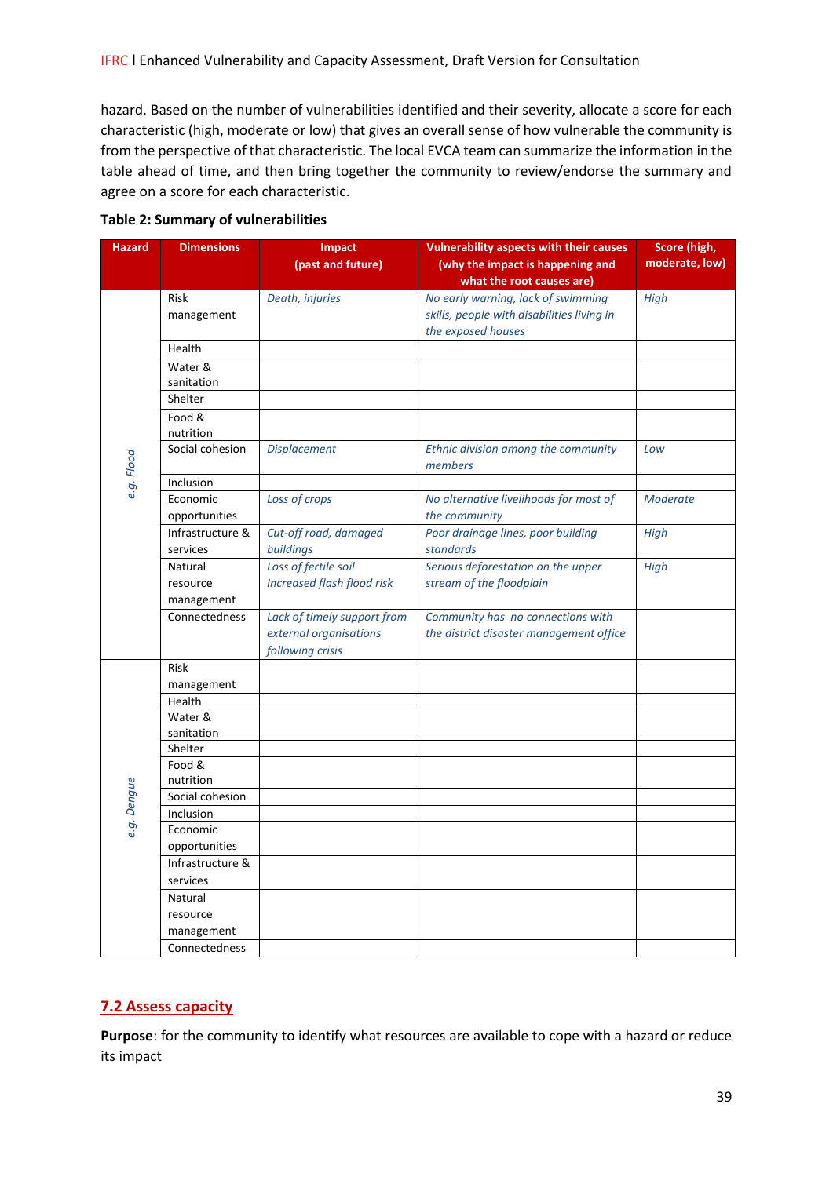hazard. Based on the number of vulnerabilities identified and their severity, allocate a score for each characteristic (high, moderate or low) that gives an overall sense of how vulnerable the community is from the perspective of that characteristic. The local EVCA team can summarize the information in the table ahead of time, and then bring together the community to review/endorse the summary and agree on a score for each characteristic.

| what the root causes are)<br>No early warning, lack of swimming<br>Risk<br>Death, injuries<br>High<br>skills, people with disabilities living in<br>management<br>the exposed houses<br>Health<br>Water &<br>sanitation<br>Shelter<br>Food &<br>nutrition<br>Social cohesion<br><b>Displacement</b><br>Ethnic division among the community<br>Low<br>e.g. Flood<br>members<br>Inclusion<br>Loss of crops<br>Economic<br>No alternative livelihoods for most of<br><b>Moderate</b> | <b>Hazard</b> | <b>Dimensions</b> | <b>Impact</b><br>(past and future) | <b>Vulnerability aspects with their causes</b><br>(why the impact is happening and | Score (high,<br>moderate, low) |
|-----------------------------------------------------------------------------------------------------------------------------------------------------------------------------------------------------------------------------------------------------------------------------------------------------------------------------------------------------------------------------------------------------------------------------------------------------------------------------------|---------------|-------------------|------------------------------------|------------------------------------------------------------------------------------|--------------------------------|
|                                                                                                                                                                                                                                                                                                                                                                                                                                                                                   |               |                   |                                    |                                                                                    |                                |
|                                                                                                                                                                                                                                                                                                                                                                                                                                                                                   |               |                   |                                    |                                                                                    |                                |
|                                                                                                                                                                                                                                                                                                                                                                                                                                                                                   |               |                   |                                    |                                                                                    |                                |
|                                                                                                                                                                                                                                                                                                                                                                                                                                                                                   |               |                   |                                    |                                                                                    |                                |
|                                                                                                                                                                                                                                                                                                                                                                                                                                                                                   |               |                   |                                    |                                                                                    |                                |
|                                                                                                                                                                                                                                                                                                                                                                                                                                                                                   |               |                   |                                    |                                                                                    |                                |
|                                                                                                                                                                                                                                                                                                                                                                                                                                                                                   |               |                   |                                    |                                                                                    |                                |
|                                                                                                                                                                                                                                                                                                                                                                                                                                                                                   |               |                   |                                    |                                                                                    |                                |
|                                                                                                                                                                                                                                                                                                                                                                                                                                                                                   |               |                   |                                    |                                                                                    |                                |
|                                                                                                                                                                                                                                                                                                                                                                                                                                                                                   |               |                   |                                    |                                                                                    |                                |
|                                                                                                                                                                                                                                                                                                                                                                                                                                                                                   |               |                   |                                    |                                                                                    |                                |
|                                                                                                                                                                                                                                                                                                                                                                                                                                                                                   |               |                   |                                    |                                                                                    |                                |
|                                                                                                                                                                                                                                                                                                                                                                                                                                                                                   |               |                   |                                    |                                                                                    |                                |
|                                                                                                                                                                                                                                                                                                                                                                                                                                                                                   |               | opportunities     |                                    | the community                                                                      |                                |
| Cut-off road, damaged<br>Poor drainage lines, poor building<br>Infrastructure &<br><b>High</b>                                                                                                                                                                                                                                                                                                                                                                                    |               |                   |                                    |                                                                                    |                                |
| buildings<br>standards<br>services                                                                                                                                                                                                                                                                                                                                                                                                                                                |               |                   |                                    |                                                                                    |                                |
| Loss of fertile soil<br>Serious deforestation on the upper<br>High<br>Natural                                                                                                                                                                                                                                                                                                                                                                                                     |               |                   |                                    |                                                                                    |                                |
| <b>Increased flash flood risk</b><br>stream of the floodplain<br>resource<br>management                                                                                                                                                                                                                                                                                                                                                                                           |               |                   |                                    |                                                                                    |                                |
| Lack of timely support from<br>Connectedness<br>Community has no connections with                                                                                                                                                                                                                                                                                                                                                                                                 |               |                   |                                    |                                                                                    |                                |
| external organisations<br>the district disaster management office                                                                                                                                                                                                                                                                                                                                                                                                                 |               |                   |                                    |                                                                                    |                                |
| following crisis                                                                                                                                                                                                                                                                                                                                                                                                                                                                  |               |                   |                                    |                                                                                    |                                |
| Risk                                                                                                                                                                                                                                                                                                                                                                                                                                                                              |               |                   |                                    |                                                                                    |                                |
| management                                                                                                                                                                                                                                                                                                                                                                                                                                                                        |               |                   |                                    |                                                                                    |                                |
| Health                                                                                                                                                                                                                                                                                                                                                                                                                                                                            |               |                   |                                    |                                                                                    |                                |
| Water &                                                                                                                                                                                                                                                                                                                                                                                                                                                                           |               |                   |                                    |                                                                                    |                                |
| sanitation<br>Shelter                                                                                                                                                                                                                                                                                                                                                                                                                                                             |               |                   |                                    |                                                                                    |                                |
| Food &                                                                                                                                                                                                                                                                                                                                                                                                                                                                            |               |                   |                                    |                                                                                    |                                |
| nutrition                                                                                                                                                                                                                                                                                                                                                                                                                                                                         |               |                   |                                    |                                                                                    |                                |
| e.g. Dengue<br>Social cohesion                                                                                                                                                                                                                                                                                                                                                                                                                                                    |               |                   |                                    |                                                                                    |                                |
| Inclusion                                                                                                                                                                                                                                                                                                                                                                                                                                                                         |               |                   |                                    |                                                                                    |                                |
| Economic                                                                                                                                                                                                                                                                                                                                                                                                                                                                          |               |                   |                                    |                                                                                    |                                |
| opportunities                                                                                                                                                                                                                                                                                                                                                                                                                                                                     |               |                   |                                    |                                                                                    |                                |
| Infrastructure &                                                                                                                                                                                                                                                                                                                                                                                                                                                                  |               |                   |                                    |                                                                                    |                                |
| services                                                                                                                                                                                                                                                                                                                                                                                                                                                                          |               |                   |                                    |                                                                                    |                                |
| Natural<br>resource                                                                                                                                                                                                                                                                                                                                                                                                                                                               |               |                   |                                    |                                                                                    |                                |
| management                                                                                                                                                                                                                                                                                                                                                                                                                                                                        |               |                   |                                    |                                                                                    |                                |
| Connectedness                                                                                                                                                                                                                                                                                                                                                                                                                                                                     |               |                   |                                    |                                                                                    |                                |

#### **Table 2: Summary of vulnerabilities**

## **7.2 Assess capacity**

**Purpose**: for the community to identify what resources are available to cope with a hazard or reduce its impact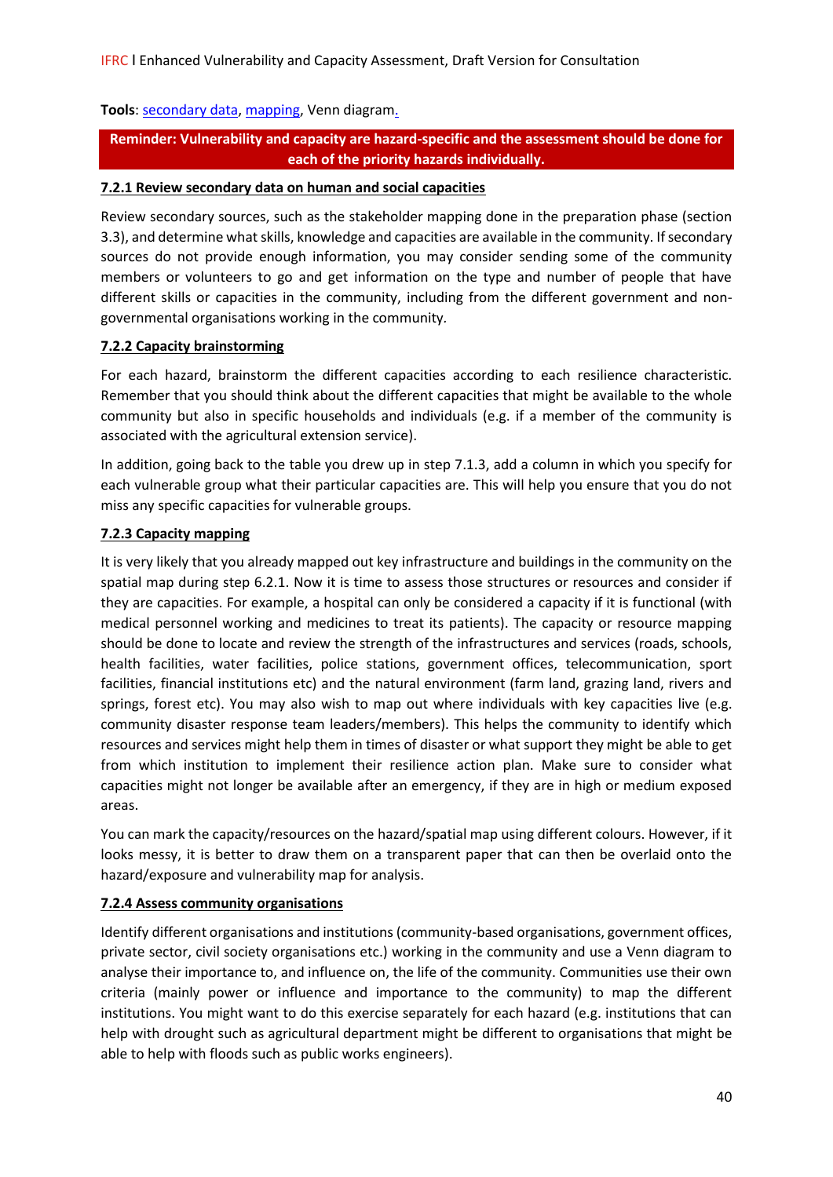## Tools: [secondary data,](https://www.ifrcvca.org/secondary-source-review) [mapping,](https://www.ifrcvca.org/mapping) Venn diagram.

**Reminder: Vulnerability and capacity are hazard-specific and the assessment should be done for each of the priority hazards individually.**

## **7.2.1 Review secondary data on human and social capacities**

Review secondary sources, such as the stakeholder mapping done in the preparation phase (section 3.3), and determine what skills, knowledge and capacities are available in the community. If secondary sources do not provide enough information, you may consider sending some of the community members or volunteers to go and get information on the type and number of people that have different skills or capacities in the community, including from the different government and nongovernmental organisations working in the community*.*

#### **7.2.2 Capacity brainstorming**

For each hazard, brainstorm the different capacities according to each resilience characteristic. Remember that you should think about the different capacities that might be available to the whole community but also in specific households and individuals (e.g. if a member of the community is associated with the agricultural extension service).

In addition, going back to the table you drew up in step 7.1.3, add a column in which you specify for each vulnerable group what their particular capacities are. This will help you ensure that you do not miss any specific capacities for vulnerable groups.

## **7.2.3 Capacity mapping**

It is very likely that you already mapped out key infrastructure and buildings in the community on the spatial map during step 6.2.1. Now it is time to assess those structures or resources and consider if they are capacities. For example, a hospital can only be considered a capacity if it is functional (with medical personnel working and medicines to treat its patients). The capacity or resource mapping should be done to locate and review the strength of the infrastructures and services (roads, schools, health facilities, water facilities, police stations, government offices, telecommunication, sport facilities, financial institutions etc) and the natural environment (farm land, grazing land, rivers and springs, forest etc). You may also wish to map out where individuals with key capacities live (e.g. community disaster response team leaders/members). This helps the community to identify which resources and services might help them in times of disaster or what support they might be able to get from which institution to implement their resilience action plan. Make sure to consider what capacities might not longer be available after an emergency, if they are in high or medium exposed areas.

You can mark the capacity/resources on the hazard/spatial map using different colours. However, if it looks messy, it is better to draw them on a transparent paper that can then be overlaid onto the hazard/exposure and vulnerability map for analysis.

## **7.2.4 Assess community organisations**

Identify different organisations and institutions (community-based organisations, government offices, private sector, civil society organisations etc.) working in the community and use a Venn diagram to analyse their importance to, and influence on, the life of the community. Communities use their own criteria (mainly power or influence and importance to the community) to map the different institutions. You might want to do this exercise separately for each hazard (e.g. institutions that can help with drought such as agricultural department might be different to organisations that might be able to help with floods such as public works engineers).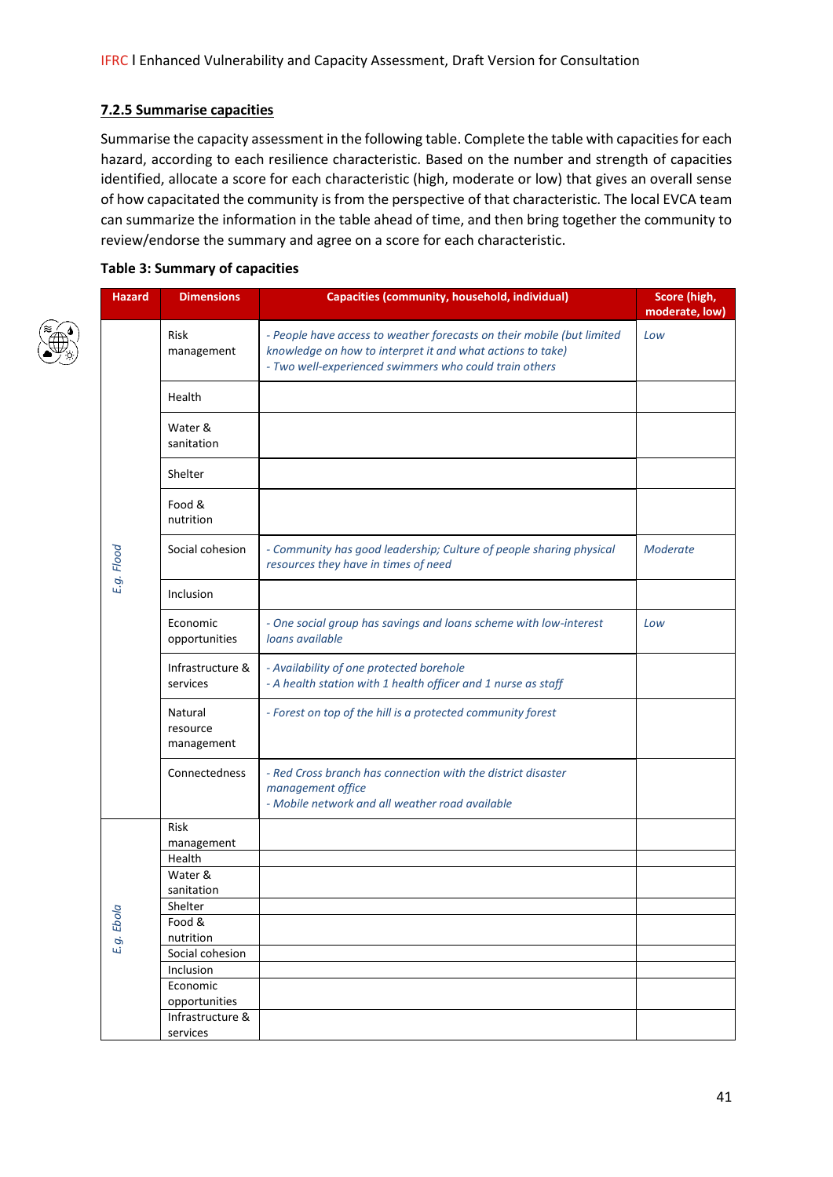#### **7.2.5 Summarise capacities**

Summarise the capacity assessment in the following table. Complete the table with capacities for each hazard, according to each resilience characteristic. Based on the number and strength of capacities identified, allocate a score for each characteristic (high, moderate or low) that gives an overall sense of how capacitated the community is from the perspective of that characteristic. The local EVCA team can summarize the information in the table ahead of time, and then bring together the community to review/endorse the summary and agree on a score for each characteristic.

#### **Table 3: Summary of capacities**

| <b>Hazard</b> | <b>Dimensions</b>                 | Capacities (community, household, individual)                                                                                                                                                  | Score (high,<br>moderate, low) |
|---------------|-----------------------------------|------------------------------------------------------------------------------------------------------------------------------------------------------------------------------------------------|--------------------------------|
|               | Risk<br>management                | - People have access to weather forecasts on their mobile (but limited<br>knowledge on how to interpret it and what actions to take)<br>- Two well-experienced swimmers who could train others | Low                            |
|               | Health                            |                                                                                                                                                                                                |                                |
|               | Water &<br>sanitation             |                                                                                                                                                                                                |                                |
|               | Shelter                           |                                                                                                                                                                                                |                                |
|               | Food &<br>nutrition               |                                                                                                                                                                                                |                                |
| E.g. Flood    | Social cohesion                   | - Community has good leadership; Culture of people sharing physical<br>resources they have in times of need                                                                                    | Moderate                       |
|               | Inclusion                         |                                                                                                                                                                                                |                                |
|               | Economic<br>opportunities         | - One social group has savings and loans scheme with low-interest<br>loans available                                                                                                           | Low                            |
|               | Infrastructure &<br>services      | - Availability of one protected borehole<br>- A health station with 1 health officer and 1 nurse as staff                                                                                      |                                |
|               | Natural<br>resource<br>management | - Forest on top of the hill is a protected community forest                                                                                                                                    |                                |
|               | Connectedness                     | - Red Cross branch has connection with the district disaster<br>management office<br>- Mobile network and all weather road available                                                           |                                |
|               | Risk                              |                                                                                                                                                                                                |                                |
|               | management<br>Health              |                                                                                                                                                                                                |                                |
|               | Water &                           |                                                                                                                                                                                                |                                |
|               | sanitation                        |                                                                                                                                                                                                |                                |
| ola           | Shelter                           |                                                                                                                                                                                                |                                |
| Ъ             | Food &                            |                                                                                                                                                                                                |                                |
| E.g.          | nutrition                         |                                                                                                                                                                                                |                                |
|               | Social cohesion                   |                                                                                                                                                                                                |                                |
|               | Inclusion                         |                                                                                                                                                                                                |                                |
|               | Economic                          |                                                                                                                                                                                                |                                |
|               | opportunities                     |                                                                                                                                                                                                |                                |
|               | Infrastructure &                  |                                                                                                                                                                                                |                                |
|               | services                          |                                                                                                                                                                                                |                                |

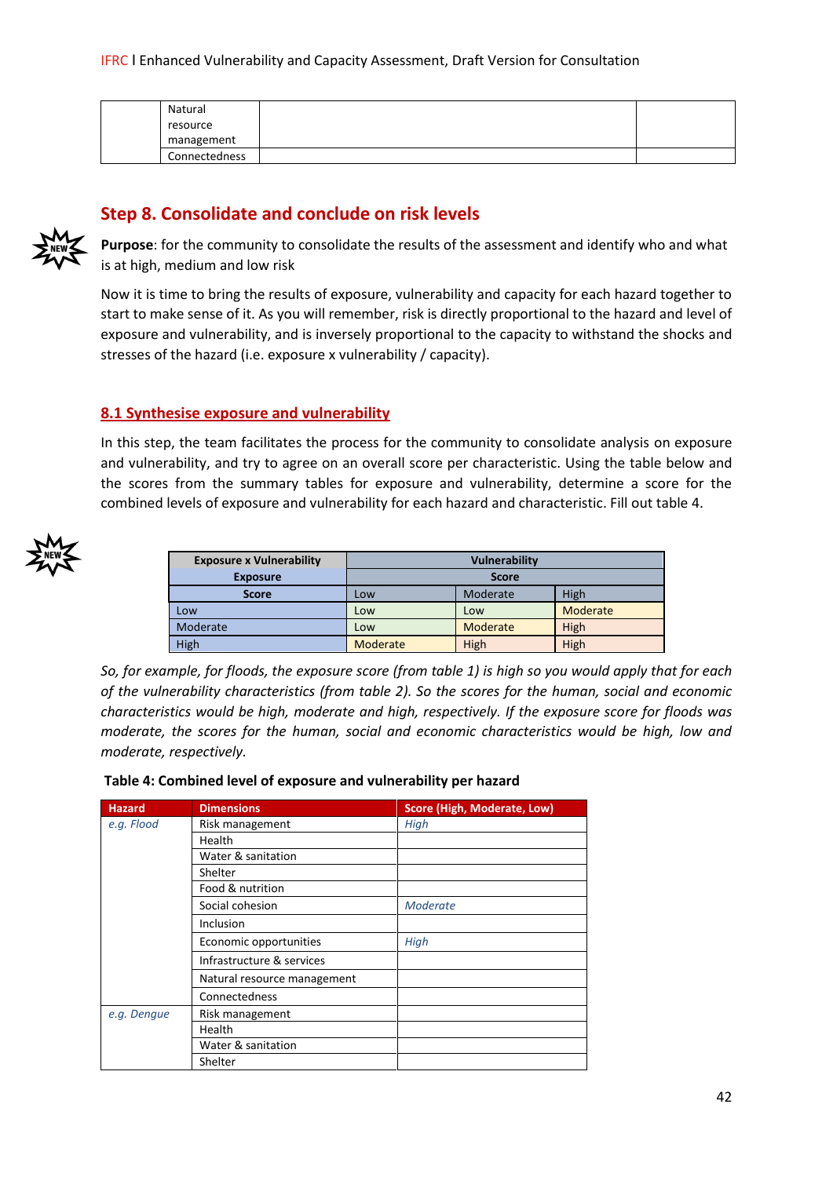| Natural       |  |
|---------------|--|
| resource      |  |
| management    |  |
| Connectedness |  |

# **Step 8. Consolidate and conclude on risk levels**



**Purpose**: for the community to consolidate the results of the assessment and identify who and what is at high, medium and low risk

Now it is time to bring the results of exposure, vulnerability and capacity for each hazard together to start to make sense of it. As you will remember, risk is directly proportional to the hazard and level of exposure and vulnerability, and is inversely proportional to the capacity to withstand the shocks and stresses of the hazard (i.e. exposure x vulnerability / capacity).

## **8.1 Synthesise exposure and vulnerability**

In this step, the team facilitates the process for the community to consolidate analysis on exposure and vulnerability, and try to agree on an overall score per characteristic. Using the table below and the scores from the summary tables for exposure and vulnerability, determine a score for the combined levels of exposure and vulnerability for each hazard and characteristic. Fill out table 4.



| <b>Exposure x Vulnerability</b> | <b>Vulnerability</b> |          |          |
|---------------------------------|----------------------|----------|----------|
| <b>Exposure</b>                 | <b>Score</b>         |          |          |
| <b>Score</b>                    | Low                  | Moderate | High     |
| Low                             | Low                  | Low      | Moderate |
| Moderate                        | Low                  | Moderate | High     |
| High                            | Moderate             | High     | High     |

*So, for example, for floods, the exposure score (from table 1) is high so you would apply that for each of the vulnerability characteristics (from table 2). So the scores for the human, social and economic characteristics would be high, moderate and high, respectively. If the exposure score for floods was moderate, the scores for the human, social and economic characteristics would be high, low and moderate, respectively.*

| Table 4: Combined level of exposure and vulnerability per hazard |  |  |  |
|------------------------------------------------------------------|--|--|--|
|------------------------------------------------------------------|--|--|--|

| <b>Hazard</b> | <b>Dimensions</b>           | Score (High, Moderate, Low) |
|---------------|-----------------------------|-----------------------------|
| e.g. Flood    | Risk management             | High                        |
|               | <b>Health</b>               |                             |
|               | Water & sanitation          |                             |
|               | Shelter                     |                             |
|               | Food & nutrition            |                             |
|               | Social cohesion             | Moderate                    |
|               | Inclusion                   |                             |
|               | Economic opportunities      | High                        |
|               | Infrastructure & services   |                             |
|               | Natural resource management |                             |
|               | Connectedness               |                             |
| e.g. Dengue   | Risk management             |                             |
|               | Health                      |                             |
|               | Water & sanitation          |                             |
|               | Shelter                     |                             |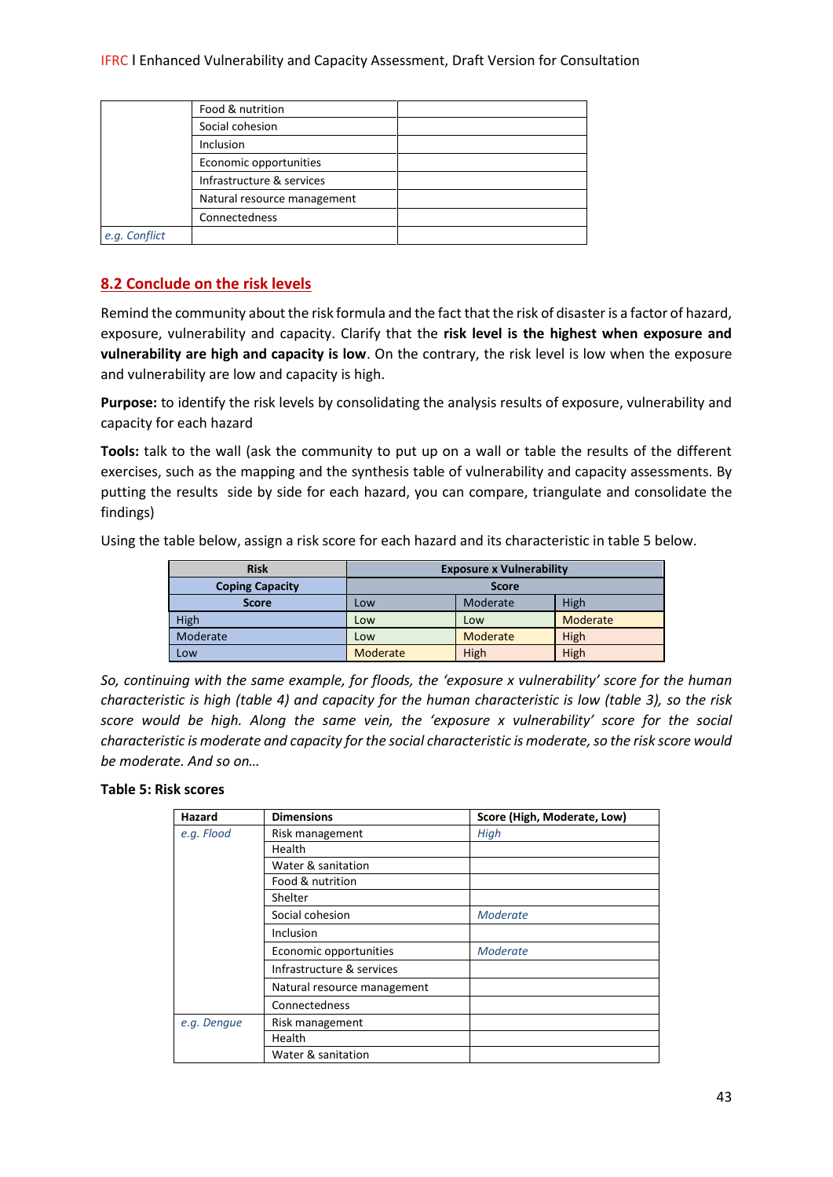|                             | Food & nutrition |  |
|-----------------------------|------------------|--|
|                             | Social cohesion  |  |
|                             | <b>Inclusion</b> |  |
| Economic opportunities      |                  |  |
| Infrastructure & services   |                  |  |
| Natural resource management |                  |  |
|                             | Connectedness    |  |
| e.g. Conflict               |                  |  |

## **8.2 Conclude on the risk levels**

Remind the community about the risk formula and the fact that the risk of disaster is a factor of hazard, exposure, vulnerability and capacity. Clarify that the **risk level is the highest when exposure and vulnerability are high and capacity is low**. On the contrary, the risk level is low when the exposure and vulnerability are low and capacity is high.

**Purpose:** to identify the risk levels by consolidating the analysis results of exposure, vulnerability and capacity for each hazard

**Tools:** talk to the wall (ask the community to put up on a wall or table the results of the different exercises, such as the mapping and the synthesis table of vulnerability and capacity assessments. By putting the results side by side for each hazard, you can compare, triangulate and consolidate the findings)

Using the table below, assign a risk score for each hazard and its characteristic in table 5 below.

| <b>Risk</b>            | <b>Exposure x Vulnerability</b> |          |          |
|------------------------|---------------------------------|----------|----------|
| <b>Coping Capacity</b> | <b>Score</b>                    |          |          |
| <b>Score</b>           | LOW                             | Moderate | High     |
| High                   | Low                             | Low      | Moderate |
| Moderate               | Low                             | Moderate | High     |
| Low                    | Moderate                        | High     | High     |

*So, continuing with the same example, for floods, the 'exposure x vulnerability' score for the human characteristic is high (table 4) and capacity for the human characteristic is low (table 3), so the risk score would be high. Along the same vein, the 'exposure x vulnerability' score for the social characteristic is moderate and capacity for the social characteristic is moderate, so the risk score would be moderate. And so on…*

#### **Table 5: Risk scores**

| Hazard      | <b>Dimensions</b>           | Score (High, Moderate, Low) |
|-------------|-----------------------------|-----------------------------|
| e.g. Flood  | Risk management             | High                        |
|             | Health                      |                             |
|             | Water & sanitation          |                             |
|             | Food & nutrition            |                             |
|             | Shelter                     |                             |
|             | Social cohesion             | Moderate                    |
|             | Inclusion                   |                             |
|             | Economic opportunities      | Moderate                    |
|             | Infrastructure & services   |                             |
|             | Natural resource management |                             |
|             | Connectedness               |                             |
| e.g. Dengue | Risk management             |                             |
|             | Health                      |                             |
|             | Water & sanitation          |                             |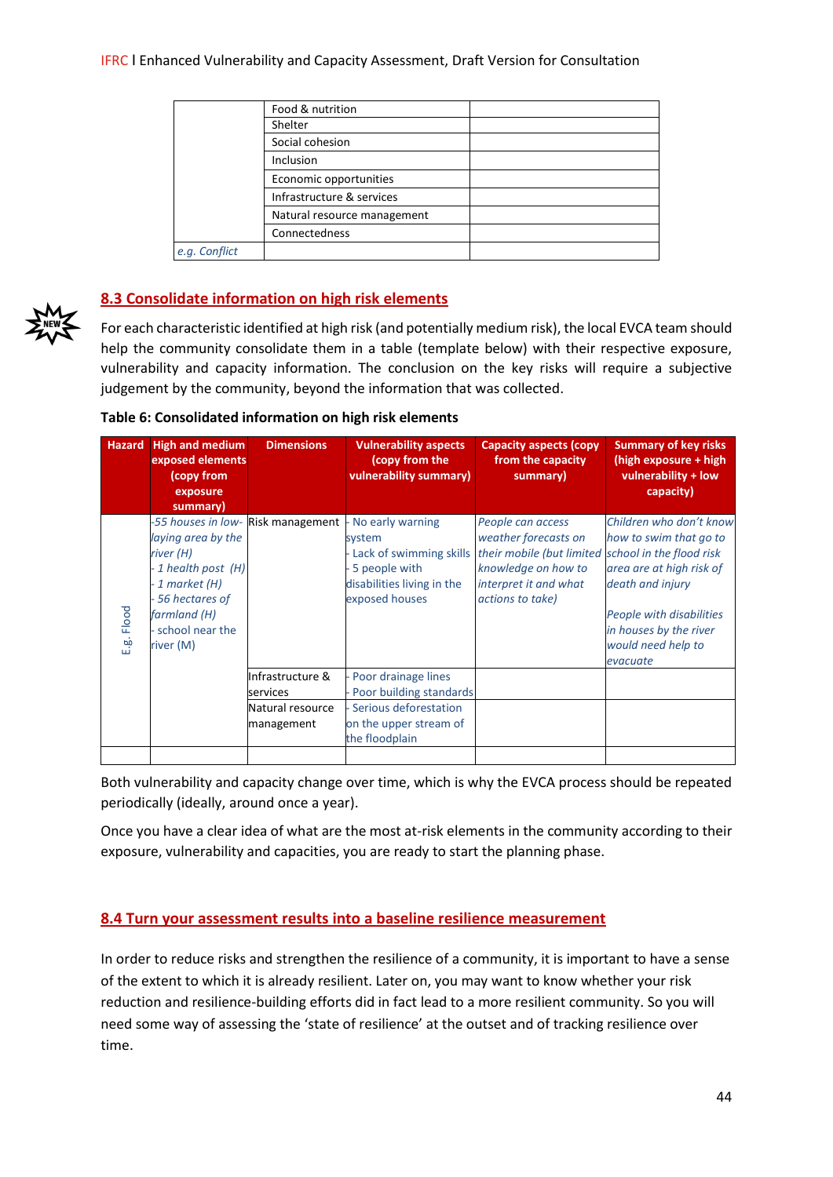|               | Food & nutrition            |  |
|---------------|-----------------------------|--|
|               | Shelter                     |  |
|               | Social cohesion             |  |
|               | Inclusion                   |  |
|               | Economic opportunities      |  |
|               | Infrastructure & services   |  |
|               | Natural resource management |  |
|               | Connectedness               |  |
| e.g. Conflict |                             |  |
|               |                             |  |

## **8.3 Consolidate information on high risk elements**

For each characteristic identified at high risk (and potentially medium risk), the local EVCA team should help the community consolidate them in a table (template below) with their respective exposure, vulnerability and capacity information. The conclusion on the key risks will require a subjective judgement by the community, beyond the information that was collected.

|  | Table 6: Consolidated information on high risk elements |
|--|---------------------------------------------------------|
|--|---------------------------------------------------------|

| <b>Hazard</b> | <b>High and medium</b><br>exposed elements<br>(copy from<br>exposure<br>summary)                                                                                | <b>Dimensions</b>              | <b>Vulnerability aspects</b><br>(copy from the<br>vulnerability summary)                                               | <b>Capacity aspects (copy)</b><br>from the capacity<br>summary)                                                                                                     | <b>Summary of key risks</b><br>(high exposure + high<br>vulnerability + low<br>capacity)                                                                                                  |
|---------------|-----------------------------------------------------------------------------------------------------------------------------------------------------------------|--------------------------------|------------------------------------------------------------------------------------------------------------------------|---------------------------------------------------------------------------------------------------------------------------------------------------------------------|-------------------------------------------------------------------------------------------------------------------------------------------------------------------------------------------|
| E.g. Flood    | -55 houses in low-<br>laying area by the<br>river (H)<br>- 1 health post (H)<br>1 market (H)<br>-56 hectares of<br>farmland (H)<br>school near the<br>river (M) | Risk management                | No early warning<br>system<br>Lack of swimming skills<br>5 people with<br>disabilities living in the<br>exposed houses | People can access<br>weather forecasts on<br>their mobile (but limited school in the flood risk<br>knowledge on how to<br>interpret it and what<br>actions to take) | Children who don't know<br>how to swim that go to<br>area are at high risk of<br>death and injury<br>People with disabilities<br>in houses by the river<br>would need help to<br>evacuate |
|               |                                                                                                                                                                 | Infrastructure &<br>services   | Poor drainage lines<br>Poor building standards                                                                         |                                                                                                                                                                     |                                                                                                                                                                                           |
|               |                                                                                                                                                                 | Natural resource<br>management | Serious deforestation<br>on the upper stream of<br>the floodplain                                                      |                                                                                                                                                                     |                                                                                                                                                                                           |
|               |                                                                                                                                                                 |                                |                                                                                                                        |                                                                                                                                                                     |                                                                                                                                                                                           |

Both vulnerability and capacity change over time, which is why the EVCA process should be repeated periodically (ideally, around once a year).

Once you have a clear idea of what are the most at-risk elements in the community according to their exposure, vulnerability and capacities, you are ready to start the planning phase.

## **8.4 Turn your assessment results into a baseline resilience measurement**

In order to reduce risks and strengthen the resilience of a community, it is important to have a sense of the extent to which it is already resilient. Later on, you may want to know whether your risk reduction and resilience-building efforts did in fact lead to a more resilient community. So you will need some way of assessing the 'state of resilience' at the outset and of tracking resilience over time.